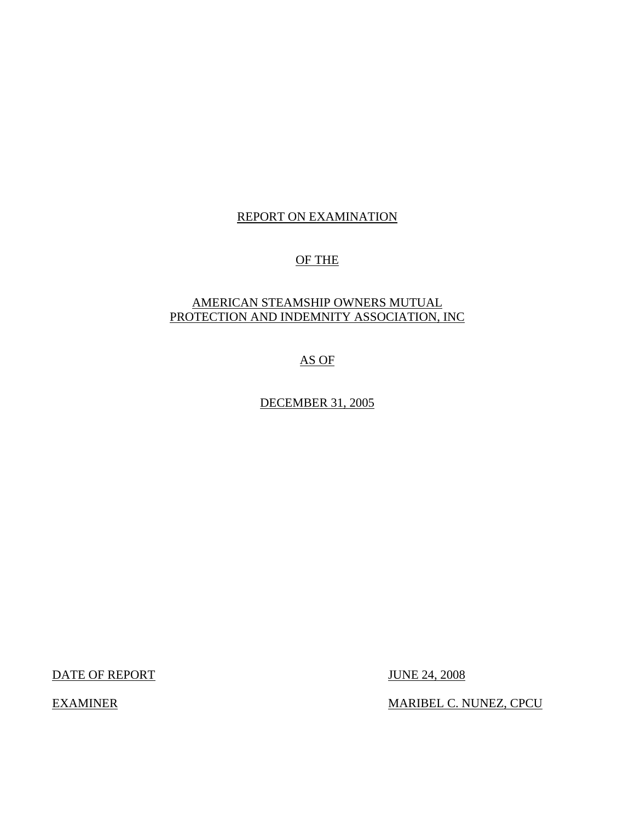## REPORT ON EXAMINATION

### OF THE

### AMERICAN STEAMSHIP OWNERS MUTUAL PROTECTION AND INDEMNITY ASSOCIATION, INC

AS OF

DECEMBER 31, 2005

DATE OF REPORT JUNE 24, 2008

EXAMINER MARIBEL C. NUNEZ, CPCU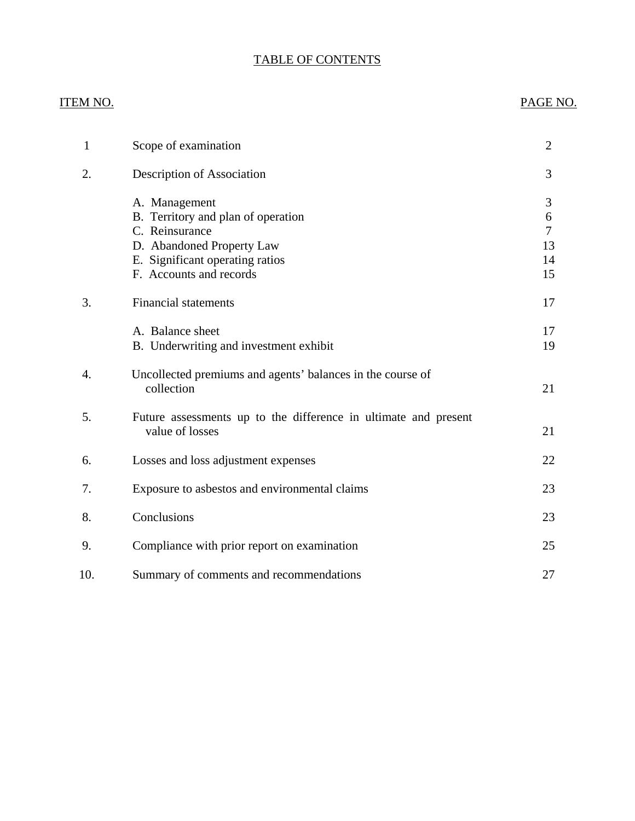# TABLE OF CONTENTS

### ITEM NO. PAGE NO.

| $\mathbf{1}$ | Scope of examination                                                                                                                                             | $\overline{2}$                |
|--------------|------------------------------------------------------------------------------------------------------------------------------------------------------------------|-------------------------------|
| 2.           | Description of Association                                                                                                                                       | 3                             |
|              | A. Management<br>B. Territory and plan of operation<br>C. Reinsurance<br>D. Abandoned Property Law<br>E. Significant operating ratios<br>F. Accounts and records | 3<br>6<br>7<br>13<br>14<br>15 |
| 3.           | <b>Financial statements</b>                                                                                                                                      | 17                            |
|              | A. Balance sheet<br>B. Underwriting and investment exhibit                                                                                                       | 17<br>19                      |
| 4.           | Uncollected premiums and agents' balances in the course of<br>collection                                                                                         | 21                            |
| 5.           | Future assessments up to the difference in ultimate and present<br>value of losses                                                                               | 21                            |
| 6.           | Losses and loss adjustment expenses                                                                                                                              | 22                            |
| 7.           | Exposure to asbestos and environmental claims                                                                                                                    | 23                            |
| 8.           | Conclusions                                                                                                                                                      | 23                            |
| 9.           | Compliance with prior report on examination                                                                                                                      | 25                            |
| 10.          | Summary of comments and recommendations                                                                                                                          | 27                            |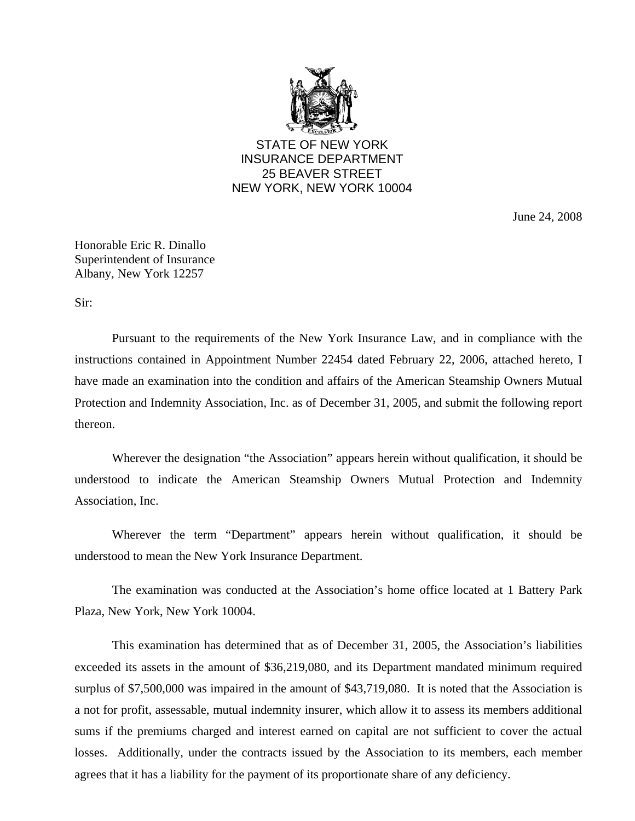

STATE OF NEW YORK INSURANCE DEPARTMENT 25 BEAVER STREET NEW YORK, NEW YORK 10004

June 24, 2008

Honorable Eric R. Dinallo Superintendent of Insurance Albany, New York 12257

Sir:

Pursuant to the requirements of the New York Insurance Law, and in compliance with the instructions contained in Appointment Number 22454 dated February 22, 2006, attached hereto, I have made an examination into the condition and affairs of the American Steamship Owners Mutual Protection and Indemnity Association, Inc. as of December 31, 2005, and submit the following report thereon.

 Wherever the designation "the Association" appears herein without qualification, it should be understood to indicate the American Steamship Owners Mutual Protection and Indemnity Association, Inc.

Wherever the term "Department" appears herein without qualification, it should be understood to mean the New York Insurance Department.

The examination was conducted at the Association's home office located at 1 Battery Park Plaza, New York, New York 10004.

This examination has determined that as of December 31, 2005, the Association's liabilities exceeded its assets in the amount of \$36,219,080, and its Department mandated minimum required surplus of \$7,500,000 was impaired in the amount of \$43,719,080. It is noted that the Association is a not for profit, assessable, mutual indemnity insurer, which allow it to assess its members additional sums if the premiums charged and interest earned on capital are not sufficient to cover the actual losses. Additionally, under the contracts issued by the Association to its members, each member agrees that it has a liability for the payment of its proportionate share of any deficiency.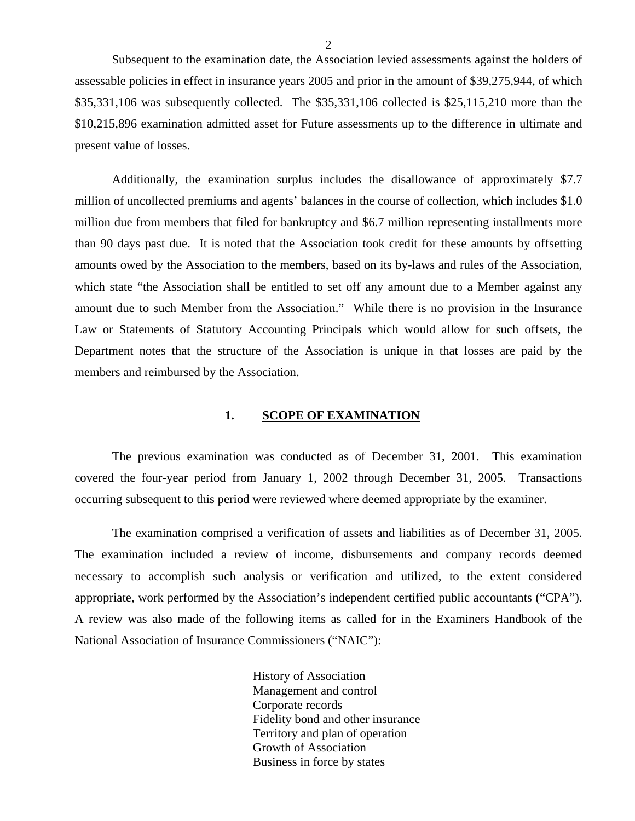<span id="page-3-0"></span>Subsequent to the examination date, the Association levied assessments against the holders of assessable policies in effect in insurance years 2005 and prior in the amount of \$39,275,944, of which \$35,331,106 was subsequently collected. The \$35,331,106 collected is \$25,115,210 more than the \$10,215,896 examination admitted asset for Future assessments up to the difference in ultimate and present value of losses.

Additionally, the examination surplus includes the disallowance of approximately \$7.7 million of uncollected premiums and agents' balances in the course of collection, which includes \$1.0 million due from members that filed for bankruptcy and \$6.7 million representing installments more than 90 days past due. It is noted that the Association took credit for these amounts by offsetting amounts owed by the Association to the members, based on its by-laws and rules of the Association, which state "the Association shall be entitled to set off any amount due to a Member against any amount due to such Member from the Association." While there is no provision in the Insurance Law or Statements of Statutory Accounting Principals which would allow for such offsets, the Department notes that the structure of the Association is unique in that losses are paid by the members and reimbursed by the Association.

#### 1. SCOPE OF EXAMINATION

The previous examination was conducted as of December 31, 2001. This examination covered the four-year period from January 1, 2002 through December 31, 2005. Transactions occurring subsequent to this period were reviewed where deemed appropriate by the examiner.

The examination comprised a verification of assets and liabilities as of December 31, 2005. The examination included a review of income, disbursements and company records deemed necessary to accomplish such analysis or verification and utilized, to the extent considered appropriate, work performed by the Association's independent certified public accountants ("CPA"). A review was also made of the following items as called for in the Examiners Handbook of the National Association of Insurance Commissioners ("NAIC"):

> History of Association Management and control Corporate records Fidelity bond and other insurance Territory and plan of operation Growth of Association Business in force by states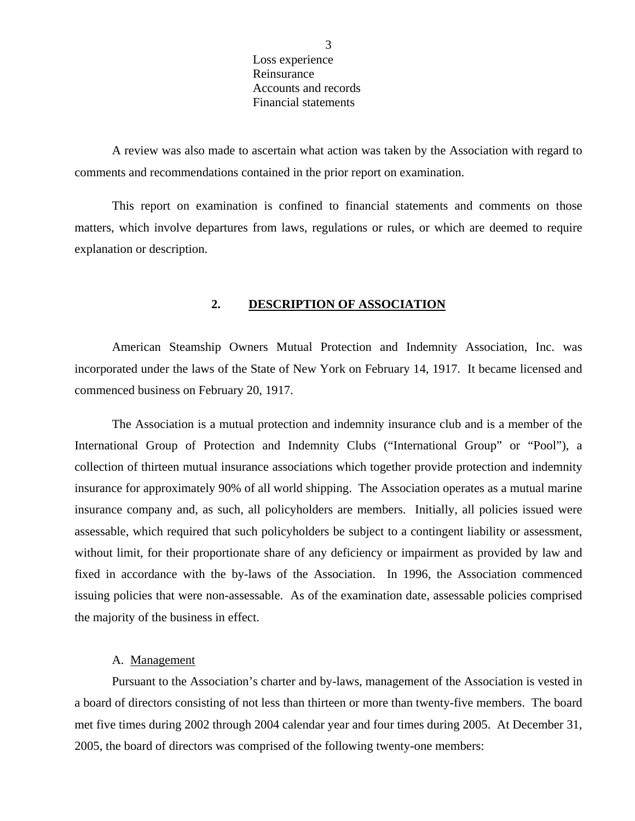Loss experience Reinsurance Accounts and records Financial statements

<span id="page-4-0"></span>A review was also made to ascertain what action was taken by the Association with regard to comments and recommendations contained in the prior report on examination.

This report on examination is confined to financial statements and comments on those matters, which involve departures from laws, regulations or rules, or which are deemed to require explanation or description.

### **2. DESCRIPTION OF ASSOCIATION**

American Steamship Owners Mutual Protection and Indemnity Association, Inc. was incorporated under the laws of the State of New York on February 14, 1917. It became licensed and commenced business on February 20, 1917.

The Association is a mutual protection and indemnity insurance club and is a member of the International Group of Protection and Indemnity Clubs ("International Group" or "Pool"), a collection of thirteen mutual insurance associations which together provide protection and indemnity insurance for approximately 90% of all world shipping. The Association operates as a mutual marine insurance company and, as such, all policyholders are members. Initially, all policies issued were assessable, which required that such policyholders be subject to a contingent liability or assessment, without limit, for their proportionate share of any deficiency or impairment as provided by law and fixed in accordance with the by-laws of the Association. In 1996, the Association commenced issuing policies that were non-assessable. As of the examination date, assessable policies comprised the majority of the business in effect.

#### A. Management

Pursuant to the Association's charter and by-laws, management of the Association is vested in a board of directors consisting of not less than thirteen or more than twenty-five members. The board met five times during 2002 through 2004 calendar year and four times during 2005. At December 31, 2005, the board of directors was comprised of the following twenty-one members: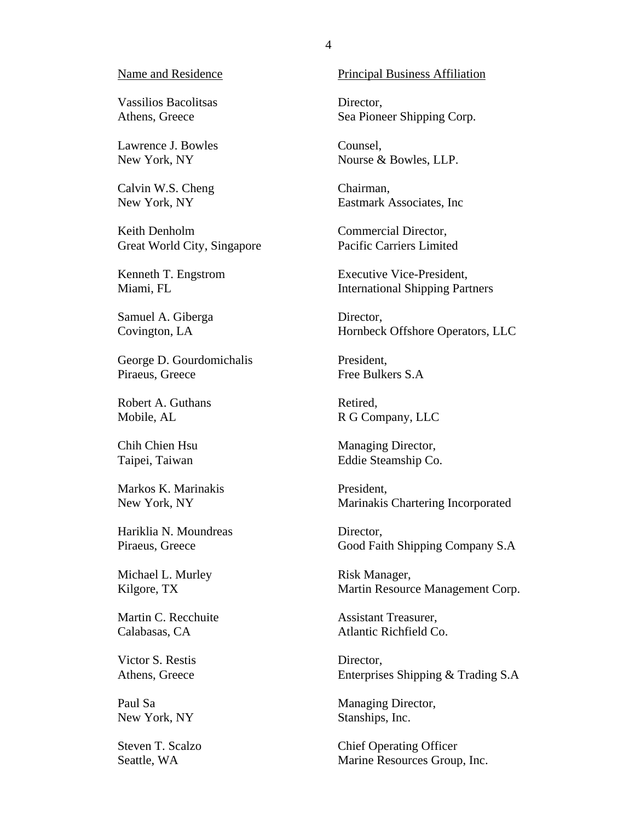#### Name and Residence

Vassilios Bacolitsas Athens, Greece

Lawrence J. Bowles New York, NY

Calvin W.S. Cheng New York, NY

Keith Denholm Great World City, Singapore

Kenneth T. Engstrom Miami, FL

Samuel A. Giberga Covington, LA

George D. Gourdomichalis Piraeus, Greece

Robert A. Guthans Mobile, AL

Chih Chien Hsu Taipei, Taiwan

Markos K. Marinakis New York, NY

Hariklia N. Moundreas Piraeus, Greece

Michael L. Murley Kilgore, TX

Martin C. Recchuite Calabasas, CA

Victor S. Restis Athens, Greece

Paul Sa New York, NY

Steven T. Scalzo Seattle, WA

#### Principal Business Affiliation

Director, Sea Pioneer Shipping Corp.

Counsel, Nourse & Bowles, LLP.

Chairman, Eastmark Associates, Inc

Commercial Director, Pacific Carriers Limited

Executive Vice-President, International Shipping Partners

Director, Hornbeck Offshore Operators, LLC

President, Free Bulkers S.A

Retired, R G Company, LLC

Managing Director, Eddie Steamship Co.

President, Marinakis Chartering Incorporated

Director, Good Faith Shipping Company S.A

Risk Manager, Martin Resource Management Corp.

Assistant Treasurer, Atlantic Richfield Co.

Director, Enterprises Shipping & Trading S.A

Managing Director, Stanships, Inc.

Chief Operating Officer Marine Resources Group, Inc.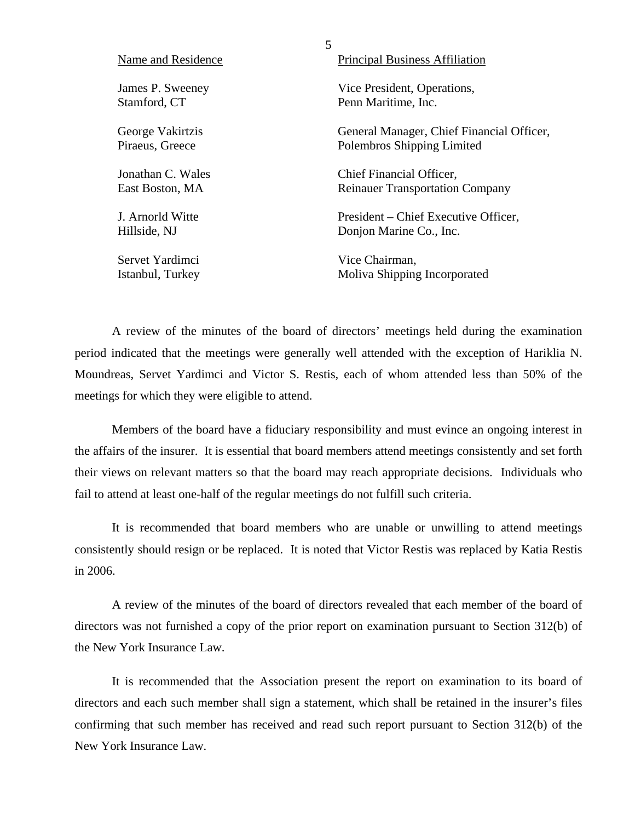| Name and Residence | <b>Principal Business Affiliation</b>     |
|--------------------|-------------------------------------------|
| James P. Sweeney   | Vice President, Operations,               |
| Stamford, CT       | Penn Maritime, Inc.                       |
| George Vakirtzis   | General Manager, Chief Financial Officer, |
| Piraeus, Greece    | Polembros Shipping Limited                |
| Jonathan C. Wales  | Chief Financial Officer,                  |
| East Boston, MA    | <b>Reinauer Transportation Company</b>    |
| J. Arnorld Witte   | President – Chief Executive Officer,      |
| Hillside, NJ       | Donjon Marine Co., Inc.                   |
| Servet Yardimci    | Vice Chairman,                            |
| Istanbul, Turkey   | Moliva Shipping Incorporated              |

5

A review of the minutes of the board of directors' meetings held during the examination period indicated that the meetings were generally well attended with the exception of Hariklia N. Moundreas, Servet Yardimci and Victor S. Restis, each of whom attended less than 50% of the meetings for which they were eligible to attend.

Members of the board have a fiduciary responsibility and must evince an ongoing interest in the affairs of the insurer. It is essential that board members attend meetings consistently and set forth their views on relevant matters so that the board may reach appropriate decisions. Individuals who fail to attend at least one-half of the regular meetings do not fulfill such criteria.

It is recommended that board members who are unable or unwilling to attend meetings consistently should resign or be replaced. It is noted that Victor Restis was replaced by Katia Restis in 2006.

A review of the minutes of the board of directors revealed that each member of the board of directors was not furnished a copy of the prior report on examination pursuant to Section 312(b) of the New York Insurance Law.

It is recommended that the Association present the report on examination to its board of directors and each such member shall sign a statement, which shall be retained in the insurer's files confirming that such member has received and read such report pursuant to Section 312(b) of the New York Insurance Law.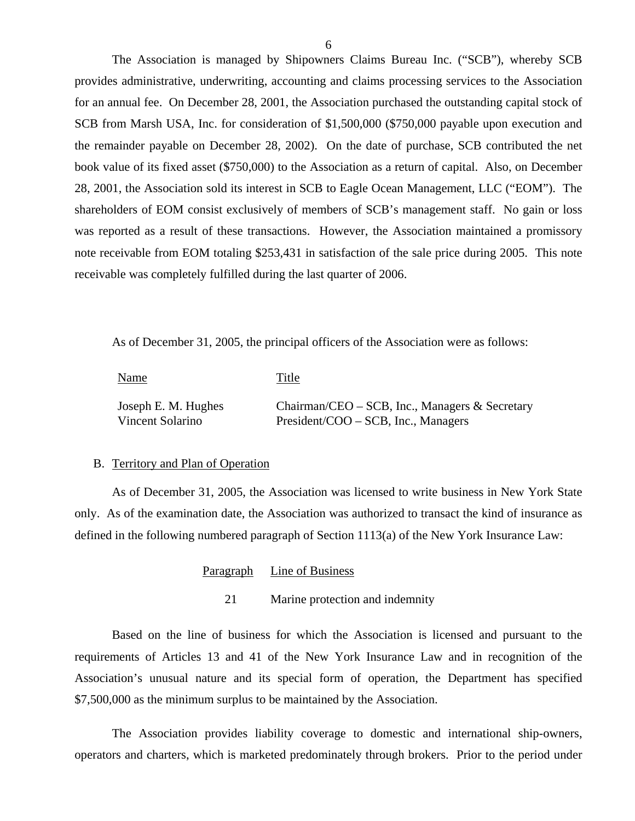The Association is managed by Shipowners Claims Bureau Inc. ("SCB"), whereby SCB provides administrative, underwriting, accounting and claims processing services to the Association for an annual fee. On December 28, 2001, the Association purchased the outstanding capital stock of SCB from Marsh USA, Inc. for consideration of \$1,500,000 (\$750,000 payable upon execution and the remainder payable on December 28, 2002). On the date of purchase, SCB contributed the net book value of its fixed asset (\$750,000) to the Association as a return of capital. Also, on December 28, 2001, the Association sold its interest in SCB to Eagle Ocean Management, LLC ("EOM"). The shareholders of EOM consist exclusively of members of SCB's management staff. No gain or loss was reported as a result of these transactions. However, the Association maintained a promissory note receivable from EOM totaling \$253,431 in satisfaction of the sale price during 2005. This note receivable was completely fulfilled during the last quarter of 2006.

As of December 31, 2005, the principal officers of the Association were as follows:

| Name                | Title                                             |
|---------------------|---------------------------------------------------|
| Joseph E. M. Hughes | Chairman/CEO – SCB, Inc., Managers $\&$ Secretary |
| Vincent Solarino    | President/COO – SCB, Inc., Managers               |

#### B. Territory and Plan of Operation

As of December 31, 2005, the Association was licensed to write business in New York State only. As of the examination date, the Association was authorized to transact the kind of insurance as defined in the following numbered paragraph of Section 1113(a) of the New York Insurance Law:

### Paragraph Line of Business

21 Marine protection and indemnity

Based on the line of business for which the Association is licensed and pursuant to the requirements of Articles 13 and 41 of the New York Insurance Law and in recognition of the Association's unusual nature and its special form of operation, the Department has specified \$7,500,000 as the minimum surplus to be maintained by the Association.

The Association provides liability coverage to domestic and international ship-owners, operators and charters, which is marketed predominately through brokers. Prior to the period under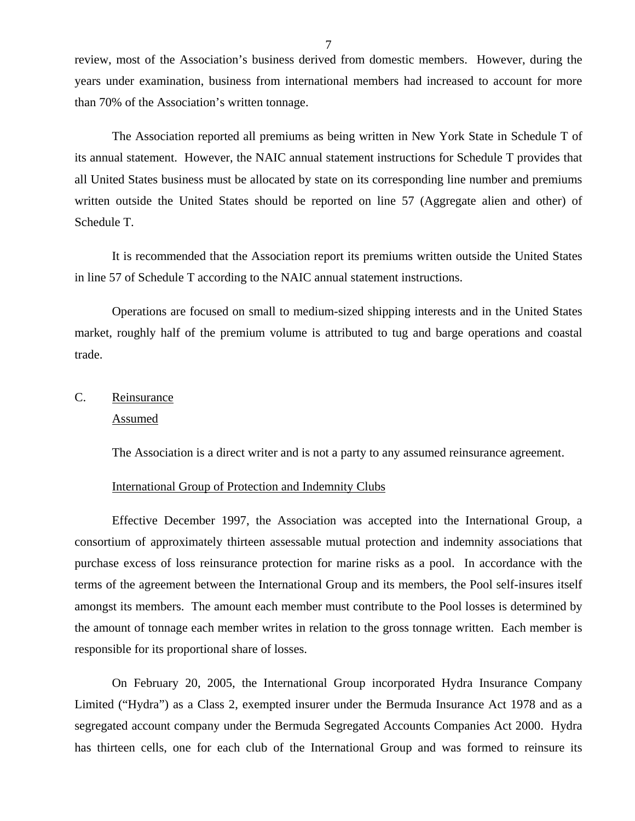<span id="page-8-0"></span>review, most of the Association's business derived from domestic members. However, during the years under examination, business from international members had increased to account for more than 70% of the Association's written tonnage.

The Association reported all premiums as being written in New York State in Schedule T of its annual statement. However, the NAIC annual statement instructions for Schedule T provides that all United States business must be allocated by state on its corresponding line number and premiums written outside the United States should be reported on line 57 (Aggregate alien and other) of Schedule T.

It is recommended that the Association report its premiums written outside the United States in line 57 of Schedule T according to the NAIC annual statement instructions.

Operations are focused on small to medium-sized shipping interests and in the United States market, roughly half of the premium volume is attributed to tug and barge operations and coastal trade.

# C. Reinsurance Assumed

The Association is a direct writer and is not a party to any assumed reinsurance agreement.

### International Group of Protection and Indemnity Clubs

Effective December 1997, the Association was accepted into the International Group, a consortium of approximately thirteen assessable mutual protection and indemnity associations that purchase excess of loss reinsurance protection for marine risks as a pool. In accordance with the terms of the agreement between the International Group and its members, the Pool self-insures itself amongst its members. The amount each member must contribute to the Pool losses is determined by the amount of tonnage each member writes in relation to the gross tonnage written. Each member is responsible for its proportional share of losses.

On February 20, 2005, the International Group incorporated Hydra Insurance Company Limited ("Hydra") as a Class 2, exempted insurer under the Bermuda Insurance Act 1978 and as a segregated account company under the Bermuda Segregated Accounts Companies Act 2000. Hydra has thirteen cells, one for each club of the International Group and was formed to reinsure its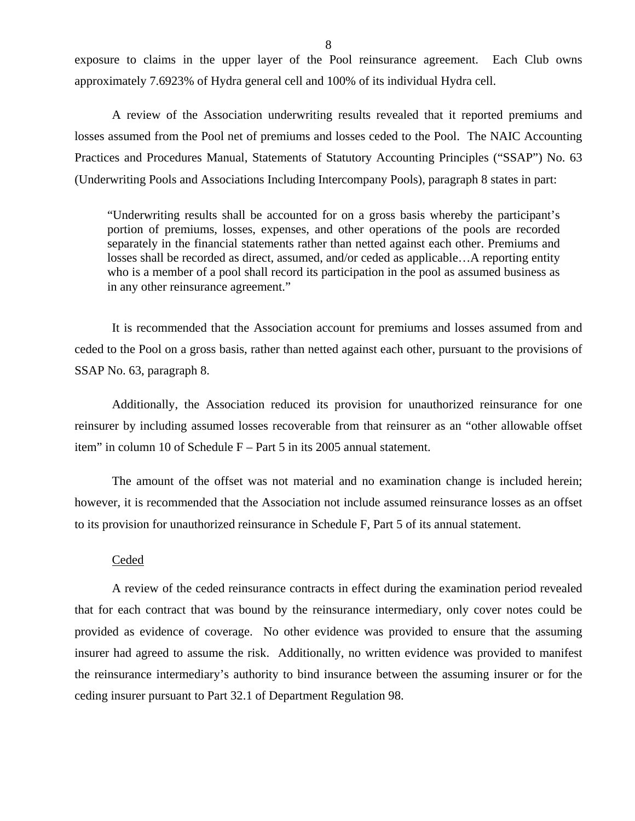exposure to claims in the upper layer of the Pool reinsurance agreement. Each Club owns approximately 7.6923% of Hydra general cell and 100% of its individual Hydra cell.

A review of the Association underwriting results revealed that it reported premiums and losses assumed from the Pool net of premiums and losses ceded to the Pool. The NAIC Accounting Practices and Procedures Manual, Statements of Statutory Accounting Principles ("SSAP") No. 63 (Underwriting Pools and Associations Including Intercompany Pools), paragraph 8 states in part:

"Underwriting results shall be accounted for on a gross basis whereby the participant's portion of premiums, losses, expenses, and other operations of the pools are recorded separately in the financial statements rather than netted against each other. Premiums and losses shall be recorded as direct, assumed, and/or ceded as applicable…A reporting entity who is a member of a pool shall record its participation in the pool as assumed business as in any other reinsurance agreement."

It is recommended that the Association account for premiums and losses assumed from and ceded to the Pool on a gross basis, rather than netted against each other, pursuant to the provisions of SSAP No. 63, paragraph 8.

Additionally, the Association reduced its provision for unauthorized reinsurance for one reinsurer by including assumed losses recoverable from that reinsurer as an "other allowable offset item" in column 10 of Schedule F – Part 5 in its 2005 annual statement.

The amount of the offset was not material and no examination change is included herein; however, it is recommended that the Association not include assumed reinsurance losses as an offset to its provision for unauthorized reinsurance in Schedule F, Part 5 of its annual statement.

### Ceded

A review of the ceded reinsurance contracts in effect during the examination period revealed that for each contract that was bound by the reinsurance intermediary, only cover notes could be provided as evidence of coverage. No other evidence was provided to ensure that the assuming insurer had agreed to assume the risk. Additionally, no written evidence was provided to manifest the reinsurance intermediary's authority to bind insurance between the assuming insurer or for the ceding insurer pursuant to Part 32.1 of Department Regulation 98.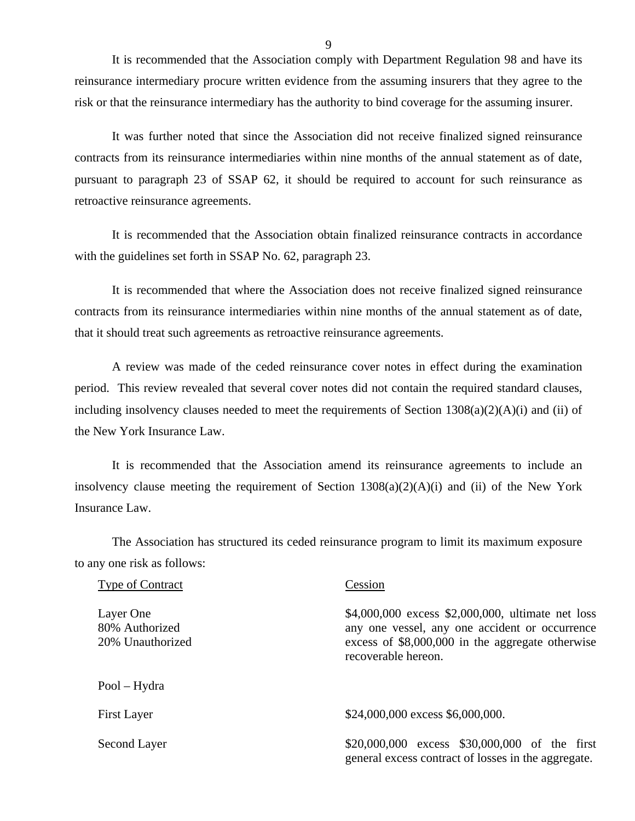It is recommended that the Association comply with Department Regulation 98 and have its reinsurance intermediary procure written evidence from the assuming insurers that they agree to the risk or that the reinsurance intermediary has the authority to bind coverage for the assuming insurer.

It was further noted that since the Association did not receive finalized signed reinsurance contracts from its reinsurance intermediaries within nine months of the annual statement as of date, pursuant to paragraph 23 of SSAP 62, it should be required to account for such reinsurance as retroactive reinsurance agreements.

It is recommended that the Association obtain finalized reinsurance contracts in accordance with the guidelines set forth in SSAP No. 62, paragraph 23.

It is recommended that where the Association does not receive finalized signed reinsurance contracts from its reinsurance intermediaries within nine months of the annual statement as of date, that it should treat such agreements as retroactive reinsurance agreements.

A review was made of the ceded reinsurance cover notes in effect during the examination period. This review revealed that several cover notes did not contain the required standard clauses, including insolvency clauses needed to meet the requirements of Section 1308(a)(2)(A)(i) and (ii) of the New York Insurance Law.

It is recommended that the Association amend its reinsurance agreements to include an insolvency clause meeting the requirement of Section 1308(a)(2)(A)(i) and (ii) of the New York Insurance Law.

The Association has structured its ceded reinsurance program to limit its maximum exposure to any one risk as follows:

| <b>Type of Contract</b>                         | Cession                                                                                                                                                                         |
|-------------------------------------------------|---------------------------------------------------------------------------------------------------------------------------------------------------------------------------------|
| Layer One<br>80% Authorized<br>20% Unauthorized | \$4,000,000 excess \$2,000,000, ultimate net loss<br>any one vessel, any one accident or occurrence<br>excess of $$8,000,000$ in the aggregate otherwise<br>recoverable hereon. |
| $Pool - Hydro$                                  |                                                                                                                                                                                 |
| <b>First Layer</b>                              | \$24,000,000 excess \$6,000,000.                                                                                                                                                |
| Second Layer                                    | \$20,000,000 excess \$30,000,000 of the first<br>general excess contract of losses in the aggregate.                                                                            |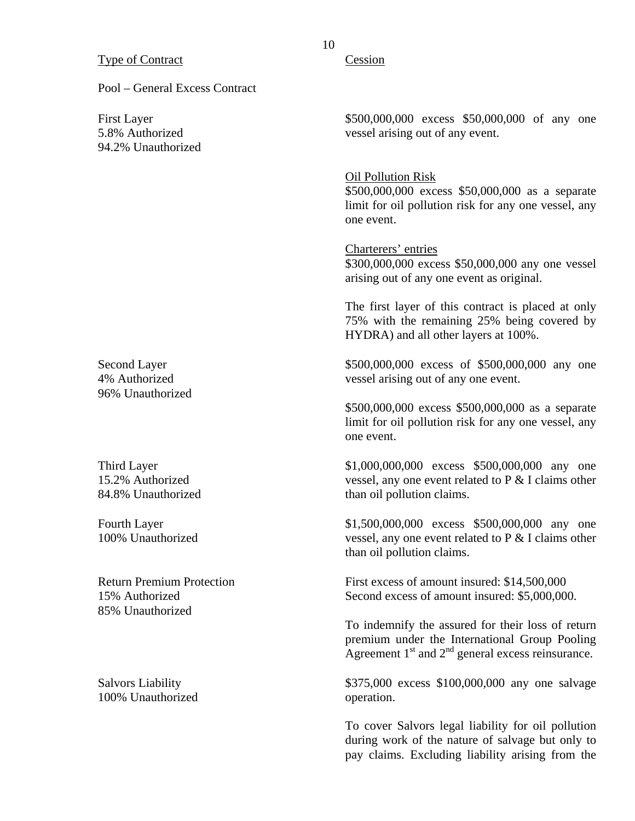Pool – General Excess Contract

First Layer 5.8% Authorized 94.2% Unauthorized

Second Layer 4% Authorized 96% Unauthorized

Third Layer 15.2% Authorized 84.8% Unauthorized

Fourth Layer 100% Unauthorized

Return Premium Protection 15% Authorized 85% Unauthorized

Salvors Liability 100% Unauthorized

### Cession

\$500,000,000 excess \$50,000,000 of any one vessel arising out of any event.

#### Oil Pollution Risk

\$500,000,000 excess \$50,000,000 as a separate limit for oil pollution risk for any one vessel, any one event.

 Charterers' entries \$300,000,000 excess \$50,000,000 any one vessel arising out of any one event as original.

The first layer of this contract is placed at only 75% with the remaining 25% being covered by HYDRA) and all other layers at 100%.

\$500,000,000 excess of \$500,000,000 any one vessel arising out of any one event.

\$500,000,000 excess \$500,000,000 as a separate limit for oil pollution risk for any one vessel, any one event.

\$1,000,000,000 excess \$500,000,000 any one vessel, any one event related to P & I claims other than oil pollution claims.

\$1,500,000,000 excess \$500,000,000 any one vessel, any one event related to P & I claims other than oil pollution claims.

First excess of amount insured: \$14,500,000 Second excess of amount insured: \$5,000,000.

To indemnify the assured for their loss of return premium under the International Group Pooling Agreement  $1<sup>st</sup>$  and  $2<sup>nd</sup>$  general excess reinsurance.

\$375,000 excess \$100,000,000 any one salvage operation.

To cover Salvors legal liability for oil pollution during work of the nature of salvage but only to pay claims. Excluding liability arising from the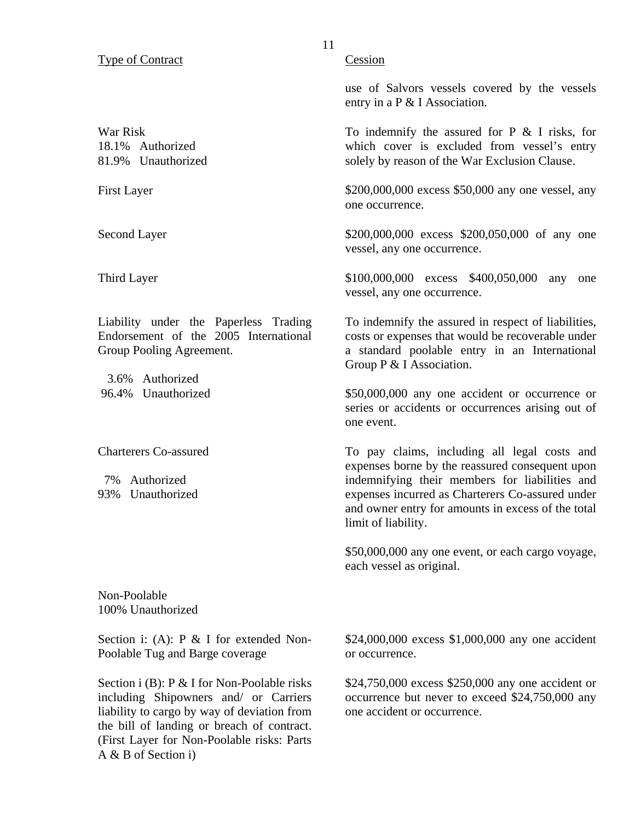### Type of Contract

War Risk 18.1% Authorized 81.9% Unauthorized

First Layer

Second Layer

Third Layer

Liability under the Paperless Trading Endorsement of the 2005 International Group Pooling Agreement.

3.6% Authorized 96.4% Unauthorized

Charterers Co-assured

7% Authorized 93% Unauthorized Cession

use of Salvors vessels covered by the vessels entry in a P & I Association.

To indemnify the assured for  $P \& I$  risks, for which cover is excluded from vessel's entry solely by reason of the War Exclusion Clause.

\$200,000,000 excess \$50,000 any one vessel, any one occurrence.

\$200,000,000 excess \$200,050,000 of any one vessel, any one occurrence.

\$100,000,000 excess \$400,050,000 any one vessel, any one occurrence.

To indemnify the assured in respect of liabilities, costs or expenses that would be recoverable under a standard poolable entry in an International Group P & I Association.

\$50,000,000 any one accident or occurrence or series or accidents or occurrences arising out of one event.

To pay claims, including all legal costs and expenses borne by the reassured consequent upon indemnifying their members for liabilities and expenses incurred as Charterers Co-assured under and owner entry for amounts in excess of the total limit of liability.

\$50,000,000 any one event, or each cargo voyage, each vessel as original.

Non-Poolable 100% Unauthorized

Section i: (A): P & I for extended Non-Poolable Tug and Barge coverage

Section i (B): P & I for Non-Poolable risks including Shipowners and/ or Carriers liability to cargo by way of deviation from the bill of landing or breach of contract. (First Layer for Non-Poolable risks: Parts A & B of Section i)

\$24,000,000 excess \$1,000,000 any one accident or occurrence.

\$24,750,000 excess \$250,000 any one accident or occurrence but never to exceed \$24,750,000 any one accident or occurrence.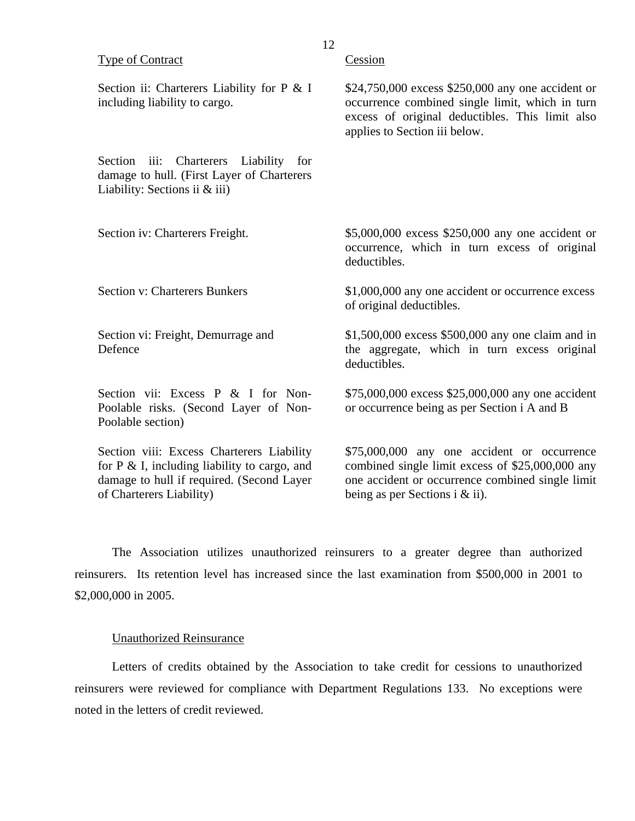| <b>Type of Contract</b>                                                                                                                                                | Cession                                                                                                                                                                                  |
|------------------------------------------------------------------------------------------------------------------------------------------------------------------------|------------------------------------------------------------------------------------------------------------------------------------------------------------------------------------------|
| Section ii: Charterers Liability for P & I<br>including liability to cargo.                                                                                            | \$24,750,000 excess \$250,000 any one accident or<br>occurrence combined single limit, which in turn<br>excess of original deductibles. This limit also<br>applies to Section iii below. |
| Section<br>Charterers<br>Liability<br>iii:<br>for<br>damage to hull. (First Layer of Charterers<br>Liability: Sections ii $&$ iii)                                     |                                                                                                                                                                                          |
| Section iv: Charterers Freight.                                                                                                                                        | \$5,000,000 excess \$250,000 any one accident or<br>occurrence, which in turn excess of original<br>deductibles.                                                                         |
| <b>Section v: Charterers Bunkers</b>                                                                                                                                   | \$1,000,000 any one accident or occurrence excess<br>of original deductibles.                                                                                                            |
| Section vi: Freight, Demurrage and<br>Defence                                                                                                                          | \$1,500,000 excess \$500,000 any one claim and in<br>the aggregate, which in turn excess original<br>deductibles.                                                                        |
| Section vii: Excess P & I for Non-<br>Poolable risks. (Second Layer of Non-<br>Poolable section)                                                                       | \$75,000,000 excess \$25,000,000 any one accident<br>or occurrence being as per Section i A and B                                                                                        |
| Section viii: Excess Charterers Liability<br>for $P \& L$ , including liability to cargo, and<br>damage to hull if required. (Second Layer<br>of Charterers Liability) | \$75,000,000 any one accident or occurrence<br>combined single limit excess of \$25,000,000 any<br>one accident or occurrence combined single limit<br>being as per Sections i & ii).    |

The Association utilizes unauthorized reinsurers to a greater degree than authorized reinsurers. Its retention level has increased since the last examination from \$500,000 in 2001 to \$2,000,000 in 2005.

#### Unauthorized Reinsurance

Letters of credits obtained by the Association to take credit for cessions to unauthorized reinsurers were reviewed for compliance with Department Regulations 133. No exceptions were noted in the letters of credit reviewed.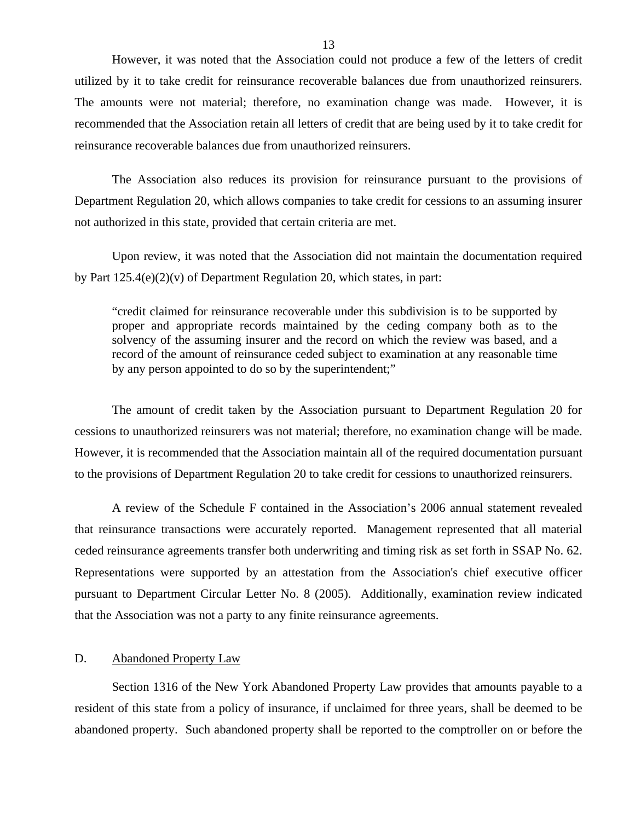<span id="page-14-0"></span>However, it was noted that the Association could not produce a few of the letters of credit utilized by it to take credit for reinsurance recoverable balances due from unauthorized reinsurers. The amounts were not material; therefore, no examination change was made. However, it is recommended that the Association retain all letters of credit that are being used by it to take credit for reinsurance recoverable balances due from unauthorized reinsurers.

The Association also reduces its provision for reinsurance pursuant to the provisions of Department Regulation 20, which allows companies to take credit for cessions to an assuming insurer not authorized in this state, provided that certain criteria are met.

Upon review, it was noted that the Association did not maintain the documentation required by Part 125.4(e)(2)(v) of Department Regulation 20, which states, in part:

"credit claimed for reinsurance recoverable under this subdivision is to be supported by proper and appropriate records maintained by the ceding company both as to the solvency of the assuming insurer and the record on which the review was based, and a record of the amount of reinsurance ceded subject to examination at any reasonable time by any person appointed to do so by the superintendent;"

The amount of credit taken by the Association pursuant to Department Regulation 20 for cessions to unauthorized reinsurers was not material; therefore, no examination change will be made. However, it is recommended that the Association maintain all of the required documentation pursuant to the provisions of Department Regulation 20 to take credit for cessions to unauthorized reinsurers.

A review of the Schedule F contained in the Association's 2006 annual statement revealed that reinsurance transactions were accurately reported. Management represented that all material ceded reinsurance agreements transfer both underwriting and timing risk as set forth in SSAP No. 62. Representations were supported by an attestation from the Association's chief executive officer pursuant to Department Circular Letter No. 8 (2005). Additionally, examination review indicated that the Association was not a party to any finite reinsurance agreements.

#### D. Abandoned Property Law

Section 1316 of the New York Abandoned Property Law provides that amounts payable to a resident of this state from a policy of insurance, if unclaimed for three years, shall be deemed to be abandoned property. Such abandoned property shall be reported to the comptroller on or before the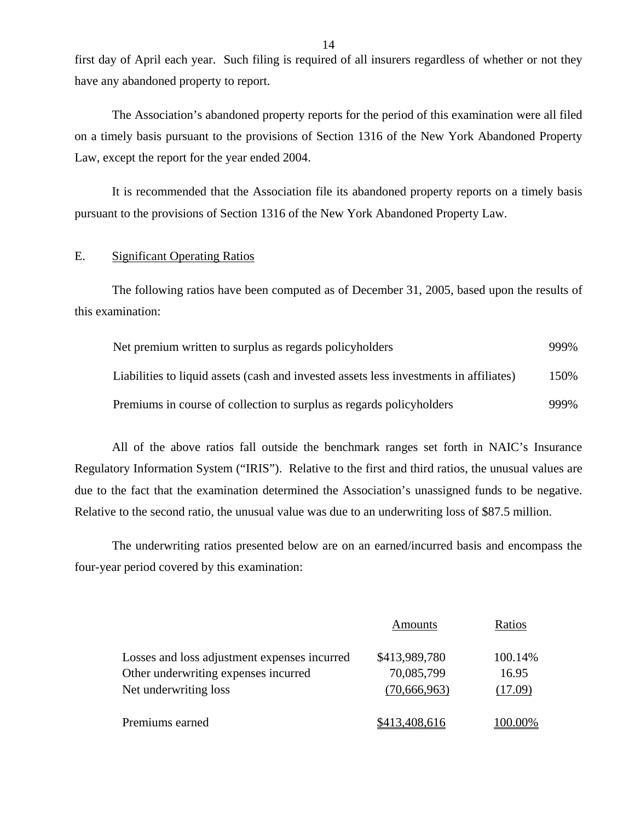first day of April each year. Such filing is required of all insurers regardless of whether or not they have any abandoned property to report.

The Association's abandoned property reports for the period of this examination were all filed on a timely basis pursuant to the provisions of Section 1316 of the New York Abandoned Property Law, except the report for the year ended 2004.

It is recommended that the Association file its abandoned property reports on a timely basis pursuant to the provisions of Section 1316 of the New York Abandoned Property Law.

### E. Significant Operating Ratios

The following ratios have been computed as of December 31, 2005, based upon the results of this examination:

| Net premium written to surplus as regards policyholders                                | 999% |
|----------------------------------------------------------------------------------------|------|
| Liabilities to liquid assets (cash and invested assets less investments in affiliates) | 150% |
| Premiums in course of collection to surplus as regards policyholders                   | 999% |

All of the above ratios fall outside the benchmark ranges set forth in NAIC's Insurance Regulatory Information System ("IRIS"). Relative to the first and third ratios, the unusual values are due to the fact that the examination determined the Association's unassigned funds to be negative. Relative to the second ratio, the unusual value was due to an underwriting loss of \$87.5 million.

The underwriting ratios presented below are on an earned/incurred basis and encompass the four-year period covered by this examination:

|                                              | Amounts       | Ratios         |
|----------------------------------------------|---------------|----------------|
| Losses and loss adjustment expenses incurred | \$413,989,780 | 100.14%        |
| Other underwriting expenses incurred         | 70,085,799    | 16.95          |
| Net underwriting loss                        | (70,666,963)  | (17.09)        |
| Premiums earned                              | \$413,408,616 | <b>100.00%</b> |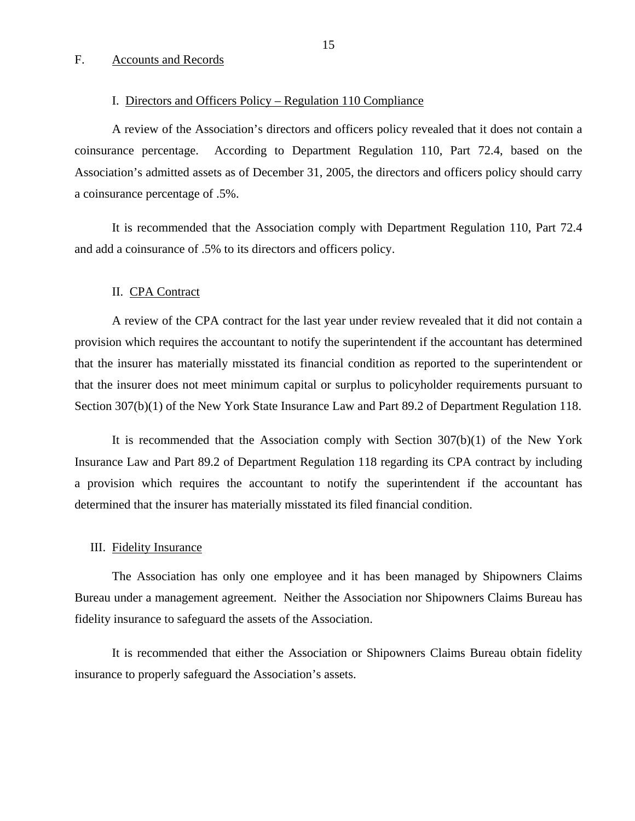### <span id="page-16-0"></span>F. Accounts and Records

#### I. Directors and Officers Policy – Regulation 110 Compliance

A review of the Association's directors and officers policy revealed that it does not contain a coinsurance percentage. According to Department Regulation 110, Part 72.4, based on the Association's admitted assets as of December 31, 2005, the directors and officers policy should carry a coinsurance percentage of .5%.

It is recommended that the Association comply with Department Regulation 110, Part 72.4 and add a coinsurance of .5% to its directors and officers policy.

#### II. CPA Contract

A review of the CPA contract for the last year under review revealed that it did not contain a provision which requires the accountant to notify the superintendent if the accountant has determined that the insurer has materially misstated its financial condition as reported to the superintendent or that the insurer does not meet minimum capital or surplus to policyholder requirements pursuant to Section 307(b)(1) of the New York State Insurance Law and Part 89.2 of Department Regulation 118.

It is recommended that the Association comply with Section 307(b)(1) of the New York Insurance Law and Part 89.2 of Department Regulation 118 regarding its CPA contract by including a provision which requires the accountant to notify the superintendent if the accountant has determined that the insurer has materially misstated its filed financial condition.

#### III. Fidelity Insurance

The Association has only one employee and it has been managed by Shipowners Claims Bureau under a management agreement. Neither the Association nor Shipowners Claims Bureau has fidelity insurance to safeguard the assets of the Association.

It is recommended that either the Association or Shipowners Claims Bureau obtain fidelity insurance to properly safeguard the Association's assets.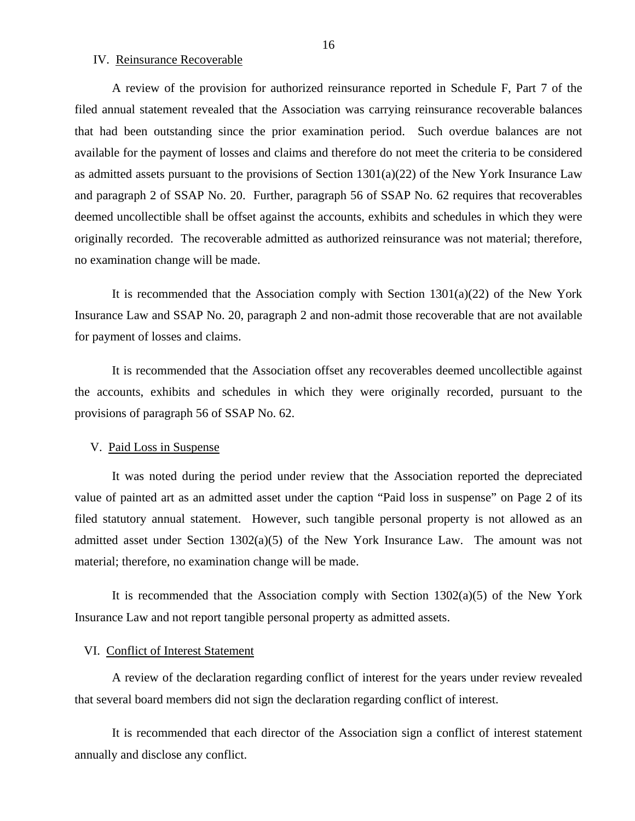IV. Reinsurance Recoverable

A review of the provision for authorized reinsurance reported in Schedule F, Part 7 of the filed annual statement revealed that the Association was carrying reinsurance recoverable balances that had been outstanding since the prior examination period. Such overdue balances are not available for the payment of losses and claims and therefore do not meet the criteria to be considered as admitted assets pursuant to the provisions of Section 1301(a)(22) of the New York Insurance Law and paragraph 2 of SSAP No. 20. Further, paragraph 56 of SSAP No. 62 requires that recoverables deemed uncollectible shall be offset against the accounts, exhibits and schedules in which they were originally recorded. The recoverable admitted as authorized reinsurance was not material; therefore, no examination change will be made.

It is recommended that the Association comply with Section  $1301(a)(22)$  of the New York Insurance Law and SSAP No. 20, paragraph 2 and non-admit those recoverable that are not available for payment of losses and claims.

It is recommended that the Association offset any recoverables deemed uncollectible against the accounts, exhibits and schedules in which they were originally recorded, pursuant to the provisions of paragraph 56 of SSAP No. 62.

#### V. Paid Loss in Suspense

It was noted during the period under review that the Association reported the depreciated value of painted art as an admitted asset under the caption "Paid loss in suspense" on Page 2 of its filed statutory annual statement. However, such tangible personal property is not allowed as an admitted asset under Section 1302(a)(5) of the New York Insurance Law. The amount was not material; therefore, no examination change will be made.

It is recommended that the Association comply with Section  $1302(a)(5)$  of the New York Insurance Law and not report tangible personal property as admitted assets.

#### VI. Conflict of Interest Statement

A review of the declaration regarding conflict of interest for the years under review revealed that several board members did not sign the declaration regarding conflict of interest.

It is recommended that each director of the Association sign a conflict of interest statement annually and disclose any conflict.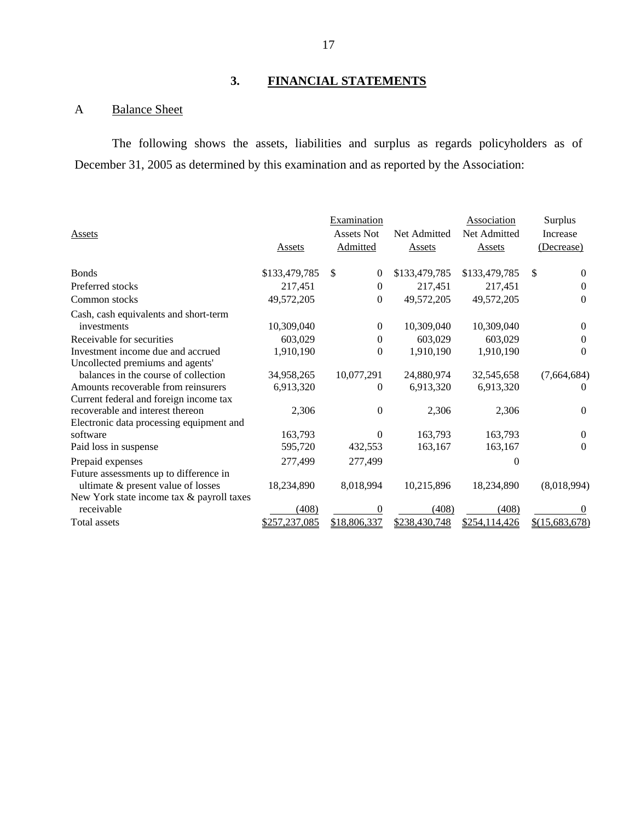# **3. FINANCIAL STATEMENTS**

## A Balance Sheet

The following shows the assets, liabilities and surplus as regards policyholders as of December 31, 2005 as determined by this examination and as reported by the Association:

|                                           |               | Examination                  |               | <b>Association</b> | Surplus          |
|-------------------------------------------|---------------|------------------------------|---------------|--------------------|------------------|
| Assets                                    |               | <b>Assets Not</b>            | Net Admitted  | Net Admitted       | Increase         |
|                                           | Assets        | <b>Admitted</b>              | <b>Assets</b> | <b>Assets</b>      | (Decrease)       |
|                                           |               |                              |               |                    |                  |
| <b>Bonds</b>                              | \$133,479,785 | $\mathbb{S}$<br>$\mathbf{0}$ | \$133,479,785 | \$133,479,785      | \$<br>$\Omega$   |
| Preferred stocks                          | 217,451       | $\theta$                     | 217,451       | 217,451            | $\Omega$         |
| Common stocks                             | 49,572,205    | $\boldsymbol{0}$             | 49,572,205    | 49,572,205         | $\Omega$         |
| Cash, cash equivalents and short-term     |               |                              |               |                    |                  |
| investments                               | 10,309,040    | $\mathbf{0}$                 | 10,309,040    | 10,309,040         | $\Omega$         |
| Receivable for securities                 | 603,029       | $\mathbf{0}$                 | 603,029       | 603,029            | 0                |
| Investment income due and accrued         | 1,910,190     | $\theta$                     | 1,910,190     | 1,910,190          | $\Omega$         |
| Uncollected premiums and agents'          |               |                              |               |                    |                  |
| balances in the course of collection      | 34,958,265    | 10,077,291                   | 24,880,974    | 32,545,658         | (7,664,684)      |
| Amounts recoverable from reinsurers       | 6,913,320     | $\Omega$                     | 6,913,320     | 6,913,320          | $\theta$         |
| Current federal and foreign income tax    |               |                              |               |                    |                  |
| recoverable and interest thereon          | 2,306         | $\Omega$                     | 2,306         | 2,306              | $\theta$         |
| Electronic data processing equipment and  |               |                              |               |                    |                  |
| software                                  | 163,793       | $\Omega$                     | 163,793       | 163,793            | $\Omega$         |
| Paid loss in suspense                     | 595,720       | 432,553                      | 163,167       | 163,167            | $\Omega$         |
| Prepaid expenses                          | 277,499       | 277,499                      |               | $_{0}$             |                  |
| Future assessments up to difference in    |               |                              |               |                    |                  |
| ultimate & present value of losses        | 18,234,890    | 8,018,994                    | 10,215,896    | 18,234,890         | (8,018,994)      |
| New York state income tax & payroll taxes |               |                              |               |                    |                  |
| receivable                                | (408)         | 0                            | (408)         | (408)              | $\theta$         |
| Total assets                              | \$257,237,085 | \$18,806,337                 | \$238,430,748 | \$254,114,426      | $$$ (15,683,678) |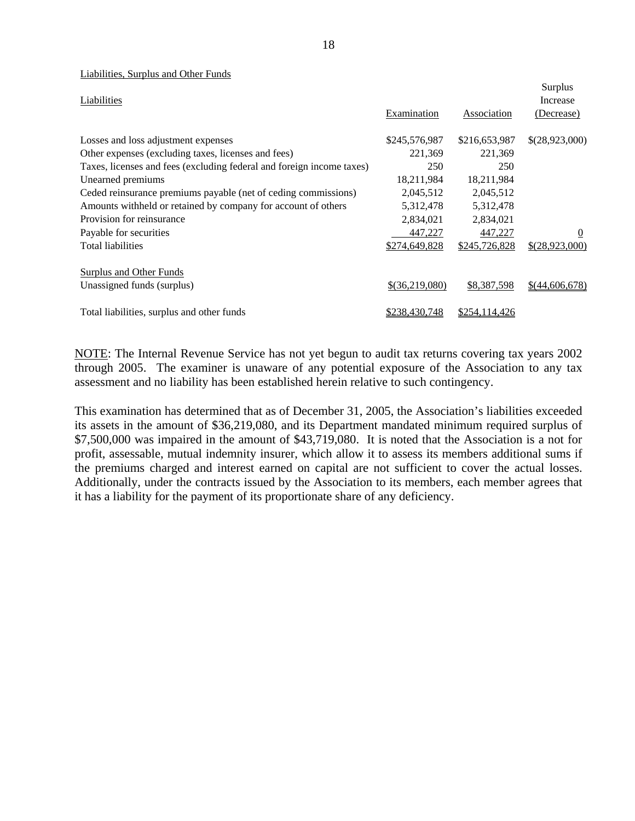|                                                                       |                |                    | Surplus          |
|-----------------------------------------------------------------------|----------------|--------------------|------------------|
| Liabilities                                                           |                |                    | Increase         |
|                                                                       | Examination    | <b>Association</b> | (Decrease)       |
| Losses and loss adjustment expenses                                   | \$245,576,987  | \$216,653,987      | \$(28,923,000)   |
| Other expenses (excluding taxes, licenses and fees)                   | 221,369        | 221,369            |                  |
| Taxes, licenses and fees (excluding federal and foreign income taxes) | 250            | 250                |                  |
| Unearned premiums                                                     | 18,211,984     | 18,211,984         |                  |
| Ceded reinsurance premiums payable (net of ceding commissions)        | 2,045,512      | 2,045,512          |                  |
| Amounts withheld or retained by company for account of others         | 5,312,478      | 5,312,478          |                  |
| Provision for reinsurance                                             | 2,834,021      | 2,834,021          |                  |
| Payable for securities                                                | 447,227        | 447,227            | $\boldsymbol{0}$ |
| <b>Total liabilities</b>                                              | \$274,649,828  | \$245,726,828      | \$(28,923,000)   |
| <b>Surplus and Other Funds</b>                                        |                |                    |                  |
| Unassigned funds (surplus)                                            | \$(36,219,080) | \$8,387,598        | $$$ (44,606,678) |
| Total liabilities, surplus and other funds                            | \$238,430,748  | \$254,114,426      |                  |

NOTE: The Internal Revenue Service has not yet begun to audit tax returns covering tax years 2002 through 2005. The examiner is unaware of any potential exposure of the Association to any tax assessment and no liability has been established herein relative to such contingency.

This examination has determined that as of December 31, 2005, the Association's liabilities exceeded its assets in the amount of \$36,219,080, and its Department mandated minimum required surplus of \$7,500,000 was impaired in the amount of \$43,719,080. It is noted that the Association is a not for profit, assessable, mutual indemnity insurer, which allow it to assess its members additional sums if the premiums charged and interest earned on capital are not sufficient to cover the actual losses. Additionally, under the contracts issued by the Association to its members, each member agrees that it has a liability for the payment of its proportionate share of any deficiency.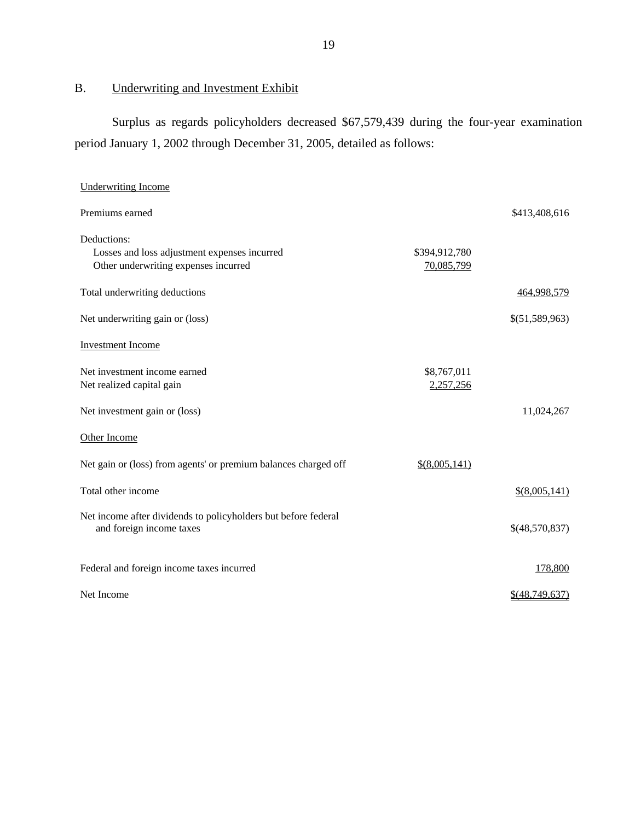<span id="page-20-0"></span>B. Underwriting and Investment Exhibit

Surplus as regards policyholders decreased \$67,579,439 during the four-year examination period January 1, 2002 through December 31, 2005, detailed as follows:

| <b>Underwriting Income</b>                                                                          |                             |                  |
|-----------------------------------------------------------------------------------------------------|-----------------------------|------------------|
| Premiums earned                                                                                     |                             | \$413,408,616    |
| Deductions:<br>Losses and loss adjustment expenses incurred<br>Other underwriting expenses incurred | \$394,912,780<br>70,085,799 |                  |
| Total underwriting deductions                                                                       |                             | 464,998,579      |
| Net underwriting gain or (loss)                                                                     |                             | \$(51,589,963)   |
| <b>Investment Income</b>                                                                            |                             |                  |
| Net investment income earned<br>Net realized capital gain                                           | \$8,767,011<br>2,257,256    |                  |
| Net investment gain or (loss)                                                                       |                             | 11,024,267       |
| Other Income                                                                                        |                             |                  |
| Net gain or (loss) from agents' or premium balances charged off                                     | $$$ (8,005,141)             |                  |
| Total other income                                                                                  |                             | \$(8,005,141)    |
| Net income after dividends to policyholders but before federal<br>and foreign income taxes          |                             | \$(48,570,837)   |
| Federal and foreign income taxes incurred                                                           |                             | 178,800          |
| Net Income                                                                                          |                             | $$$ (48,749,637) |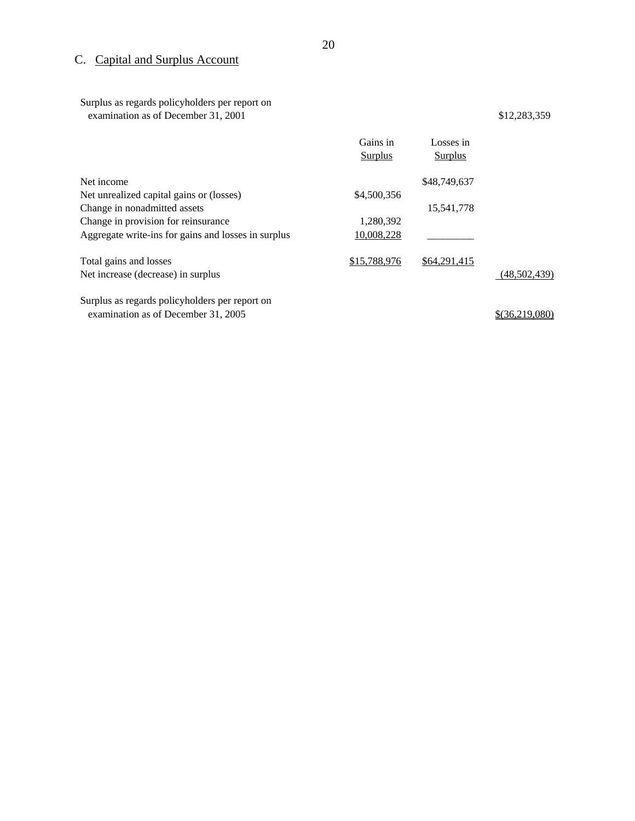# C. Capital and Surplus Account

Surplus as regards policyholders per report on examination as of December 31, 2001 \$12,283,359

|                                                     | Gains in<br>Surplus | Losses in<br>Surplus |              |
|-----------------------------------------------------|---------------------|----------------------|--------------|
| Net income                                          |                     | \$48,749,637         |              |
| Net unrealized capital gains or (losses)            | \$4,500,356         |                      |              |
| Change in nonadmitted assets                        |                     | 15,541,778           |              |
| Change in provision for reinsurance                 | 1,280,392           |                      |              |
| Aggregate write-ins for gains and losses in surplus | 10,008,228          |                      |              |
| Total gains and losses                              | \$15,788,976        | \$64,291,415         |              |
| Net increase (decrease) in surplus                  |                     |                      | (48,502,439) |
| Surplus as regards policyholders per report on      |                     |                      |              |

examination as of December 31, 2005  $$(36,219,080)$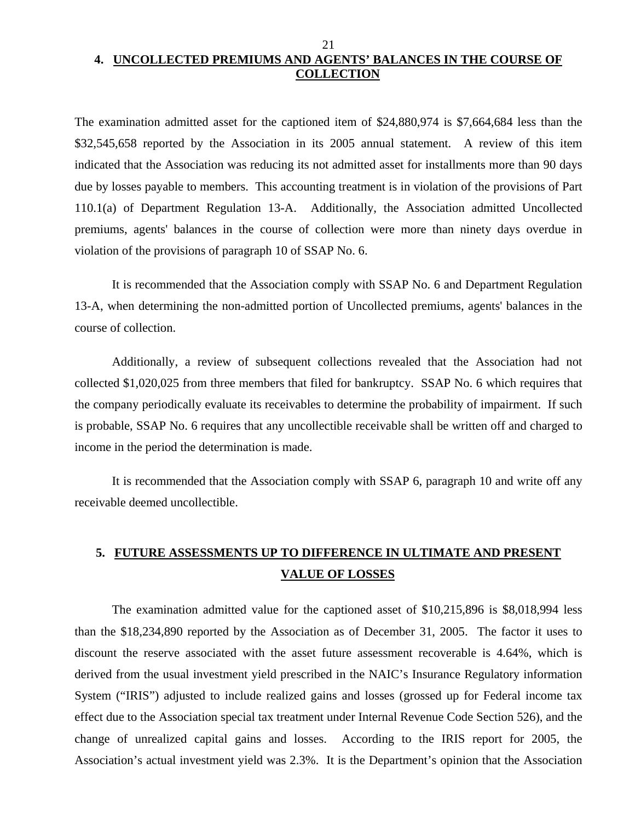# <span id="page-22-0"></span>**4. UNCOLLECTED PREMIUMS AND AGENTS' BALANCES IN THE COURSE OF COLLECTION**

21

The examination admitted asset for the captioned item of \$24,880,974 is \$7,664,684 less than the \$32,545,658 reported by the Association in its 2005 annual statement. A review of this item indicated that the Association was reducing its not admitted asset for installments more than 90 days due by losses payable to members. This accounting treatment is in violation of the provisions of Part 110.1(a) of Department Regulation 13-A. Additionally, the Association admitted Uncollected premiums, agents' balances in the course of collection were more than ninety days overdue in violation of the provisions of paragraph 10 of SSAP No. 6.

It is recommended that the Association comply with SSAP No. 6 and Department Regulation 13-A, when determining the non-admitted portion of Uncollected premiums, agents' balances in the course of collection.

Additionally, a review of subsequent collections revealed that the Association had not collected \$1,020,025 from three members that filed for bankruptcy. SSAP No. 6 which requires that the company periodically evaluate its receivables to determine the probability of impairment. If such is probable, SSAP No. 6 requires that any uncollectible receivable shall be written off and charged to income in the period the determination is made.

It is recommended that the Association comply with SSAP 6, paragraph 10 and write off any receivable deemed uncollectible.

# **5. FUTURE ASSESSMENTS UP TO DIFFERENCE IN ULTIMATE AND PRESENT VALUE OF LOSSES**

The examination admitted value for the captioned asset of \$10,215,896 is \$8,018,994 less than the \$18,234,890 reported by the Association as of December 31, 2005. The factor it uses to discount the reserve associated with the asset future assessment recoverable is 4.64%, which is derived from the usual investment yield prescribed in the NAIC's Insurance Regulatory information System ("IRIS") adjusted to include realized gains and losses (grossed up for Federal income tax effect due to the Association special tax treatment under Internal Revenue Code Section 526), and the change of unrealized capital gains and losses. According to the IRIS report for 2005, the Association's actual investment yield was 2.3%. It is the Department's opinion that the Association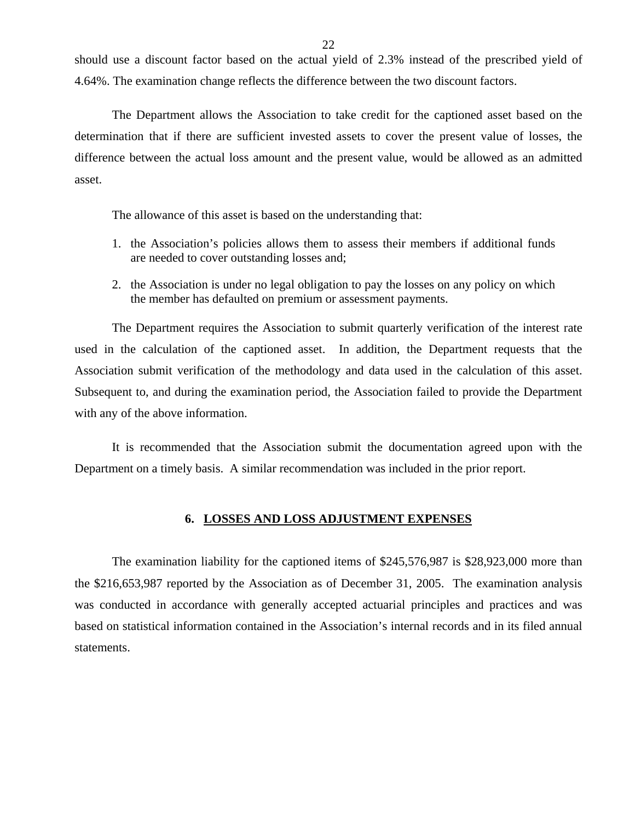<span id="page-23-0"></span>should use a discount factor based on the actual yield of 2.3% instead of the prescribed yield of 4.64%. The examination change reflects the difference between the two discount factors.

The Department allows the Association to take credit for the captioned asset based on the determination that if there are sufficient invested assets to cover the present value of losses, the difference between the actual loss amount and the present value, would be allowed as an admitted asset.

The allowance of this asset is based on the understanding that:

- 1. the Association's policies allows them to assess their members if additional funds are needed to cover outstanding losses and;
- 2. the Association is under no legal obligation to pay the losses on any policy on which the member has defaulted on premium or assessment payments.

The Department requires the Association to submit quarterly verification of the interest rate used in the calculation of the captioned asset. In addition, the Department requests that the Association submit verification of the methodology and data used in the calculation of this asset. Subsequent to, and during the examination period, the Association failed to provide the Department with any of the above information.

It is recommended that the Association submit the documentation agreed upon with the Department on a timely basis. A similar recommendation was included in the prior report.

#### **6. LOSSES AND LOSS ADJUSTMENT EXPENSES**

The examination liability for the captioned items of \$245,576,987 is \$28,923,000 more than the \$216,653,987 reported by the Association as of December 31, 2005. The examination analysis was conducted in accordance with generally accepted actuarial principles and practices and was based on statistical information contained in the Association's internal records and in its filed annual statements.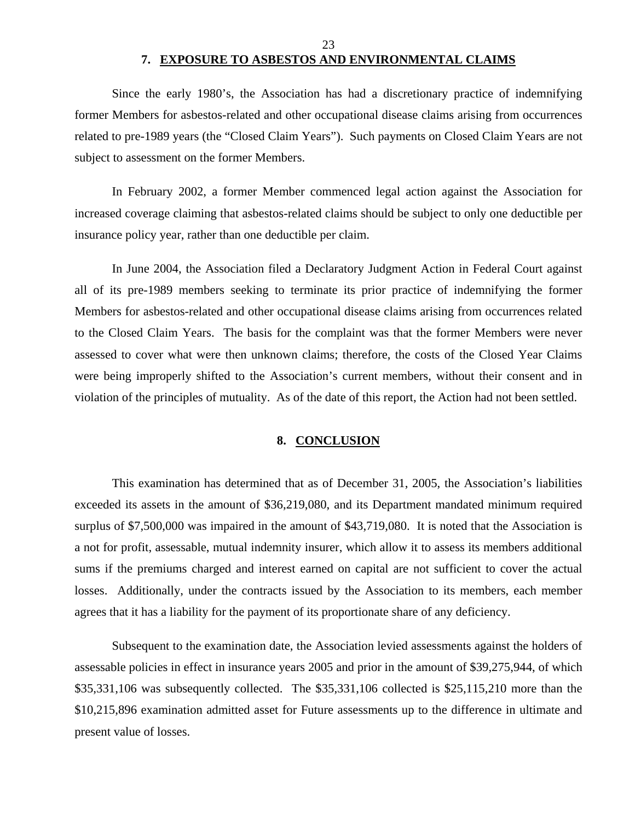#### 23

## **7. EXPOSURE TO ASBESTOS AND ENVIRONMENTAL CLAIMS**

<span id="page-24-0"></span>Since the early 1980's, the Association has had a discretionary practice of indemnifying former Members for asbestos-related and other occupational disease claims arising from occurrences related to pre-1989 years (the "Closed Claim Years"). Such payments on Closed Claim Years are not subject to assessment on the former Members.

In February 2002, a former Member commenced legal action against the Association for increased coverage claiming that asbestos-related claims should be subject to only one deductible per insurance policy year, rather than one deductible per claim.

In June 2004, the Association filed a Declaratory Judgment Action in Federal Court against all of its pre-1989 members seeking to terminate its prior practice of indemnifying the former Members for asbestos-related and other occupational disease claims arising from occurrences related to the Closed Claim Years. The basis for the complaint was that the former Members were never assessed to cover what were then unknown claims; therefore, the costs of the Closed Year Claims were being improperly shifted to the Association's current members, without their consent and in violation of the principles of mutuality. As of the date of this report, the Action had not been settled.

#### **8. CONCLUSION**

This examination has determined that as of December 31, 2005, the Association's liabilities exceeded its assets in the amount of \$36,219,080, and its Department mandated minimum required surplus of \$7,500,000 was impaired in the amount of \$43,719,080. It is noted that the Association is a not for profit, assessable, mutual indemnity insurer, which allow it to assess its members additional sums if the premiums charged and interest earned on capital are not sufficient to cover the actual losses. Additionally, under the contracts issued by the Association to its members, each member agrees that it has a liability for the payment of its proportionate share of any deficiency.

Subsequent to the examination date, the Association levied assessments against the holders of assessable policies in effect in insurance years 2005 and prior in the amount of \$39,275,944, of which \$35,331,106 was subsequently collected. The \$35,331,106 collected is \$25,115,210 more than the \$10,215,896 examination admitted asset for Future assessments up to the difference in ultimate and present value of losses.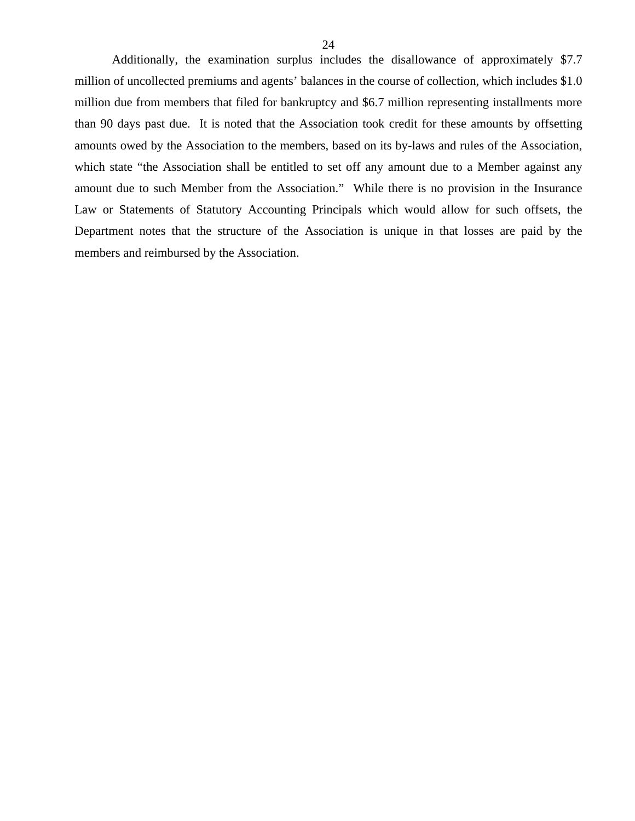Additionally, the examination surplus includes the disallowance of approximately \$7.7 million of uncollected premiums and agents' balances in the course of collection, which includes \$1.0 million due from members that filed for bankruptcy and \$6.7 million representing installments more than 90 days past due. It is noted that the Association took credit for these amounts by offsetting amounts owed by the Association to the members, based on its by-laws and rules of the Association, which state "the Association shall be entitled to set off any amount due to a Member against any amount due to such Member from the Association." While there is no provision in the Insurance Law or Statements of Statutory Accounting Principals which would allow for such offsets, the Department notes that the structure of the Association is unique in that losses are paid by the members and reimbursed by the Association.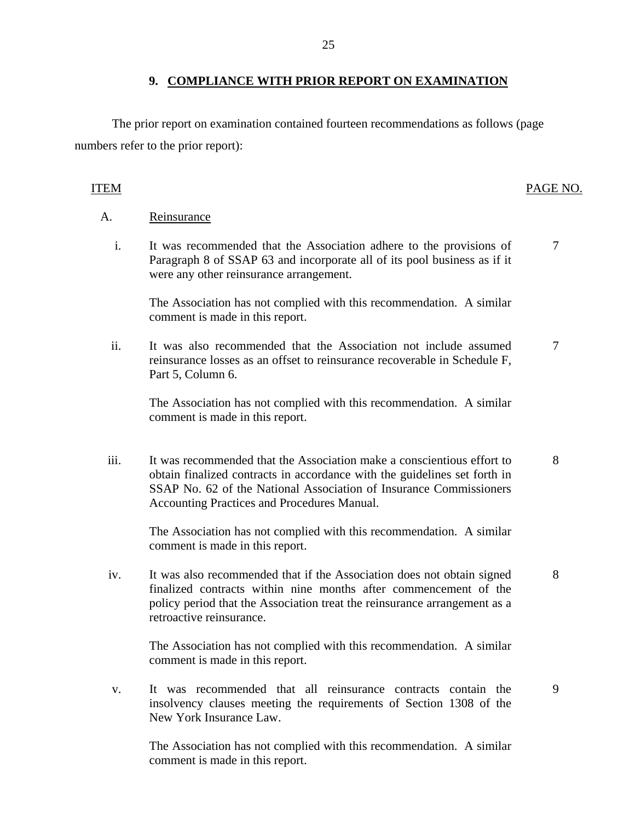### **9. COMPLIANCE WITH PRIOR REPORT ON EXAMINATION**

The prior report on examination contained fourteen recommendations as follows (page numbers refer to the prior report):

### ITEM PAGE NO.

### A. Reinsurance

i. It was recommended that the Association adhere to the provisions of Paragraph 8 of SSAP 63 and incorporate all of its pool business as if it were any other reinsurance arrangement. 7

The Association has not complied with this recommendation. A similar comment is made in this report.

ii. It was also recommended that the Association not include assumed reinsurance losses as an offset to reinsurance recoverable in Schedule F, Part 5, Column 6. 7

The Association has not complied with this recommendation. A similar comment is made in this report.

iii. It was recommended that the Association make a conscientious effort to 8 obtain finalized contracts in accordance with the guidelines set forth in SSAP No. 62 of the National Association of Insurance Commissioners Accounting Practices and Procedures Manual.

The Association has not complied with this recommendation. A similar comment is made in this report.

iv. It was also recommended that if the Association does not obtain signed 8 finalized contracts within nine months after commencement of the policy period that the Association treat the reinsurance arrangement as a retroactive reinsurance.

The Association has not complied with this recommendation. A similar comment is made in this report.

v. It was recommended that all reinsurance contracts contain the 9 insolvency clauses meeting the requirements of Section 1308 of the New York Insurance Law.

The Association has not complied with this recommendation. A similar comment is made in this report.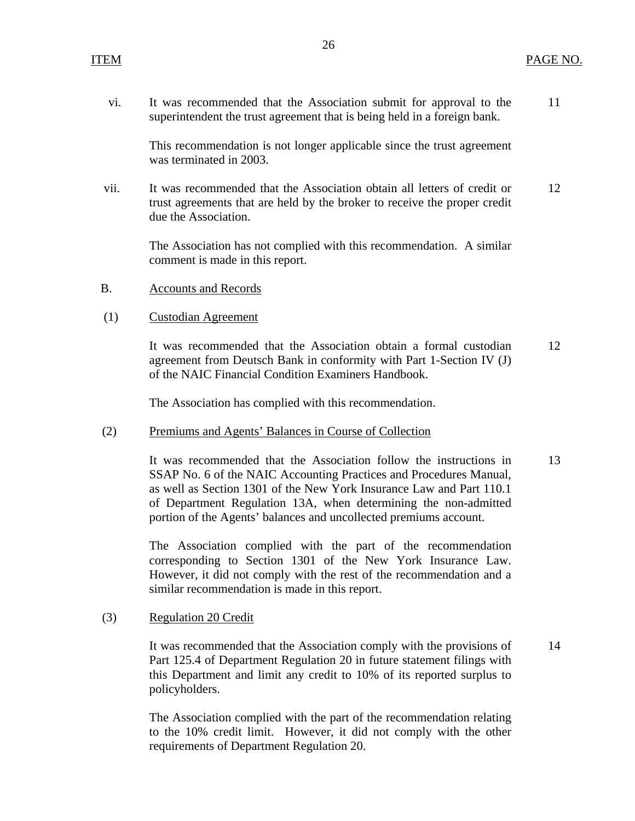vi. It was recommended that the Association submit for approval to the 11 superintendent the trust agreement that is being held in a foreign bank.

This recommendation is not longer applicable since the trust agreement was terminated in 2003.

vii. It was recommended that the Association obtain all letters of credit or 12 trust agreements that are held by the broker to receive the proper credit due the Association.

The Association has not complied with this recommendation. A similar comment is made in this report.

- B. Accounts and Records
- (1) Custodian Agreement

It was recommended that the Association obtain a formal custodian 12 agreement from Deutsch Bank in conformity with Part 1-Section IV (J) of the NAIC Financial Condition Examiners Handbook.

The Association has complied with this recommendation.

#### (2) Premiums and Agents' Balances in Course of Collection

It was recommended that the Association follow the instructions in 13 SSAP No. 6 of the NAIC Accounting Practices and Procedures Manual, as well as Section 1301 of the New York Insurance Law and Part 110.1 of Department Regulation 13A, when determining the non-admitted portion of the Agents' balances and uncollected premiums account.

The Association complied with the part of the recommendation corresponding to Section 1301 of the New York Insurance Law. However, it did not comply with the rest of the recommendation and a similar recommendation is made in this report.

#### (3) Regulation 20 Credit

It was recommended that the Association comply with the provisions of 14 Part 125.4 of Department Regulation 20 in future statement filings with this Department and limit any credit to 10% of its reported surplus to policyholders.

The Association complied with the part of the recommendation relating to the 10% credit limit. However, it did not comply with the other requirements of Department Regulation 20.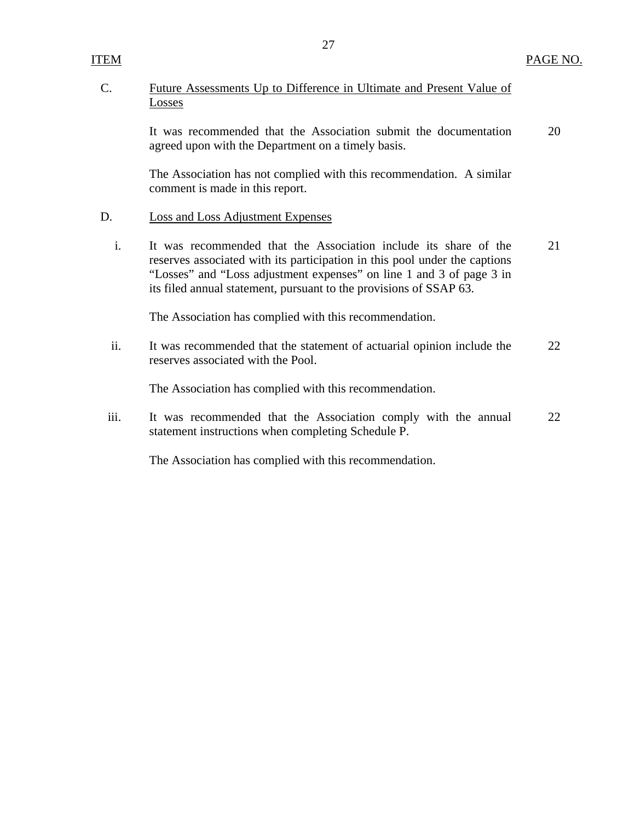## <span id="page-28-0"></span>C. Future Assessments Up to Difference in Ultimate and Present Value of Losses

It was recommended that the Association submit the documentation 20 agreed upon with the Department on a timely basis.

The Association has not complied with this recommendation. A similar comment is made in this report.

### D. Loss and Loss Adjustment Expenses

i. It was recommended that the Association include its share of the 21 reserves associated with its participation in this pool under the captions "Losses" and "Loss adjustment expenses" on line 1 and 3 of page 3 in its filed annual statement, pursuant to the provisions of SSAP 63.

The Association has complied with this recommendation.

ii. It was recommended that the statement of actuarial opinion include the 22 reserves associated with the Pool.

The Association has complied with this recommendation.

iii. It was recommended that the Association comply with the annual 22 statement instructions when completing Schedule P.

The Association has complied with this recommendation.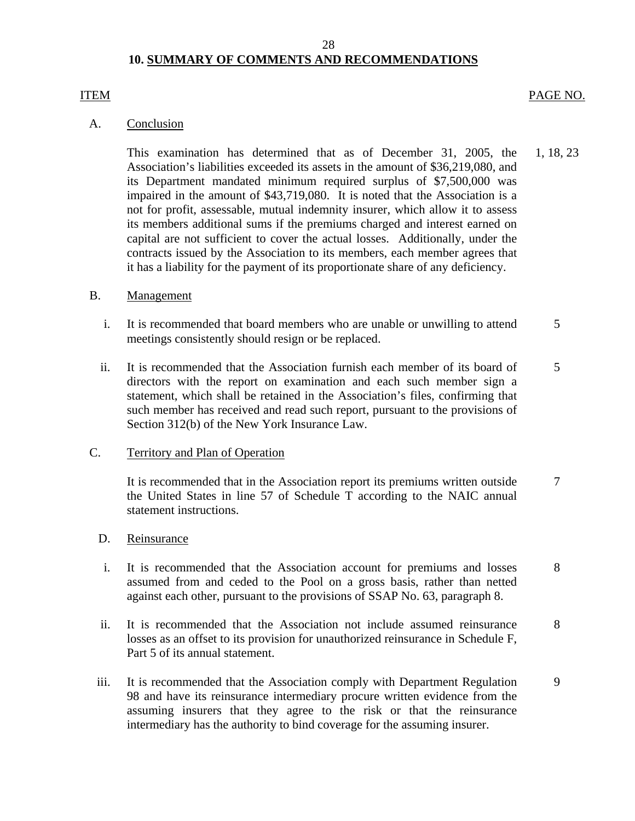# **10. SUMMARY OF COMMENTS AND RECOMMENDATIONS**

### ITEM PAGE NO.

### A. Conclusion

This examination has determined that as of December 31, 2005, the 1, 18, 23 Association's liabilities exceeded its assets in the amount of \$36,219,080, and its Department mandated minimum required surplus of \$7,500,000 was impaired in the amount of \$43,719,080. It is noted that the Association is a not for profit, assessable, mutual indemnity insurer, which allow it to assess its members additional sums if the premiums charged and interest earned on capital are not sufficient to cover the actual losses. Additionally, under the contracts issued by the Association to its members, each member agrees that it has a liability for the payment of its proportionate share of any deficiency.

### B. Management

- i. It is recommended that board members who are unable or unwilling to attend  $\frac{5}{5}$ meetings consistently should resign or be replaced.
- ii. It is recommended that the Association furnish each member of its board of 5 directors with the report on examination and each such member sign a statement, which shall be retained in the Association's files, confirming that such member has received and read such report, pursuant to the provisions of Section 312(b) of the New York Insurance Law.

### C. Territory and Plan of Operation

It is recommended that in the Association report its premiums written outside  $\frac{7}{10}$ the United States in line 57 of Schedule T according to the NAIC annual statement instructions.

### D. Reinsurance

- i. It is recommended that the Association account for premiums and losses 8 assumed from and ceded to the Pool on a gross basis, rather than netted against each other, pursuant to the provisions of SSAP No. 63, paragraph 8.
- ii. It is recommended that the Association not include assumed reinsurance 8 losses as an offset to its provision for unauthorized reinsurance in Schedule F, Part 5 of its annual statement.
- iii. It is recommended that the Association comply with Department Regulation 9 98 and have its reinsurance intermediary procure written evidence from the assuming insurers that they agree to the risk or that the reinsurance intermediary has the authority to bind coverage for the assuming insurer.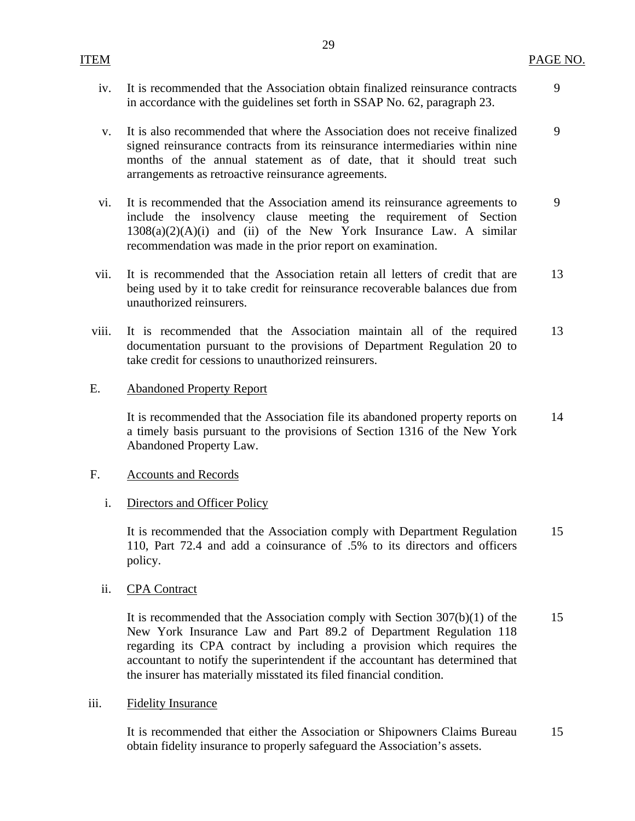| iv. It is recommended that the Association obtain finalized reinsurance contracts |  |
|-----------------------------------------------------------------------------------|--|
| in accordance with the guidelines set forth in SSAP No. 62, paragraph 23.         |  |

- v. It is also recommended that where the Association does not receive finalized signed reinsurance contracts from its reinsurance intermediaries within nine months of the annual statement as of date, that it should treat such arrangements as retroactive reinsurance agreements. 9
- vi. It is recommended that the Association amend its reinsurance agreements to include the insolvency clause meeting the requirement of Section  $1308(a)(2)(A)(i)$  and (ii) of the New York Insurance Law. A similar recommendation was made in the prior report on examination. 9
- vii. It is recommended that the Association retain all letters of credit that are being used by it to take credit for reinsurance recoverable balances due from unauthorized reinsurers. 13
- viii. It is recommended that the Association maintain all of the required documentation pursuant to the provisions of Department Regulation 20 to take credit for cessions to unauthorized reinsurers. 13
- E. Abandoned Property Report

It is recommended that the Association file its abandoned property reports on a timely basis pursuant to the provisions of Section 1316 of the New York Abandoned Property Law. 14

- F. Accounts and Records
	- i. Directors and Officer Policy

It is recommended that the Association comply with Department Regulation 110, Part 72.4 and add a coinsurance of .5% to its directors and officers policy. 15

ii. CPA Contract

It is recommended that the Association comply with Section 307(b)(1) of the New York Insurance Law and Part 89.2 of Department Regulation 118 regarding its CPA contract by including a provision which requires the accountant to notify the superintendent if the accountant has determined that the insurer has materially misstated its filed financial condition. 15

iii. Fidelity Insurance

It is recommended that either the Association or Shipowners Claims Bureau obtain fidelity insurance to properly safeguard the Association's assets. 15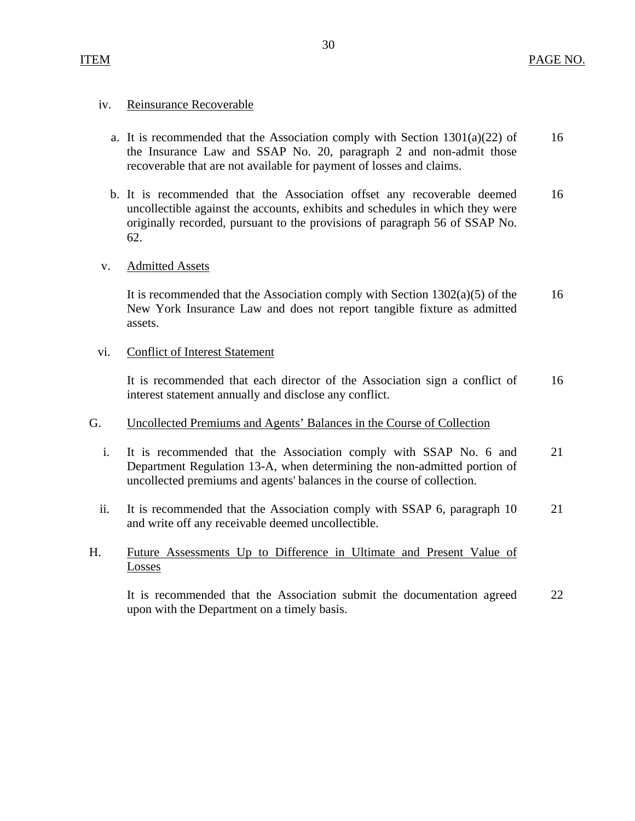### iv. Reinsurance Recoverable

- a. It is recommended that the Association comply with Section  $1301(a)(22)$  of the Insurance Law and SSAP No. 20, paragraph 2 and non-admit those recoverable that are not available for payment of losses and claims. 16
- b. It is recommended that the Association offset any recoverable deemed uncollectible against the accounts, exhibits and schedules in which they were originally recorded, pursuant to the provisions of paragraph 56 of SSAP No. 62. 16

## v. Admitted Assets

It is recommended that the Association comply with Section 1302(a)(5) of the New York Insurance Law and does not report tangible fixture as admitted assets. 16

### vi. Conflict of Interest Statement

It is recommended that each director of the Association sign a conflict of interest statement annually and disclose any conflict. 16

## G. Uncollected Premiums and Agents' Balances in the Course of Collection

- i. It is recommended that the Association comply with SSAP No. 6 and Department Regulation 13-A, when determining the non-admitted portion of uncollected premiums and agents' balances in the course of collection. 21
- ii. It is recommended that the Association comply with SSAP 6, paragraph 10 and write off any receivable deemed uncollectible. 21

## H. Future Assessments Up to Difference in Ultimate and Present Value of Losses

It is recommended that the Association submit the documentation agreed upon with the Department on a timely basis. 22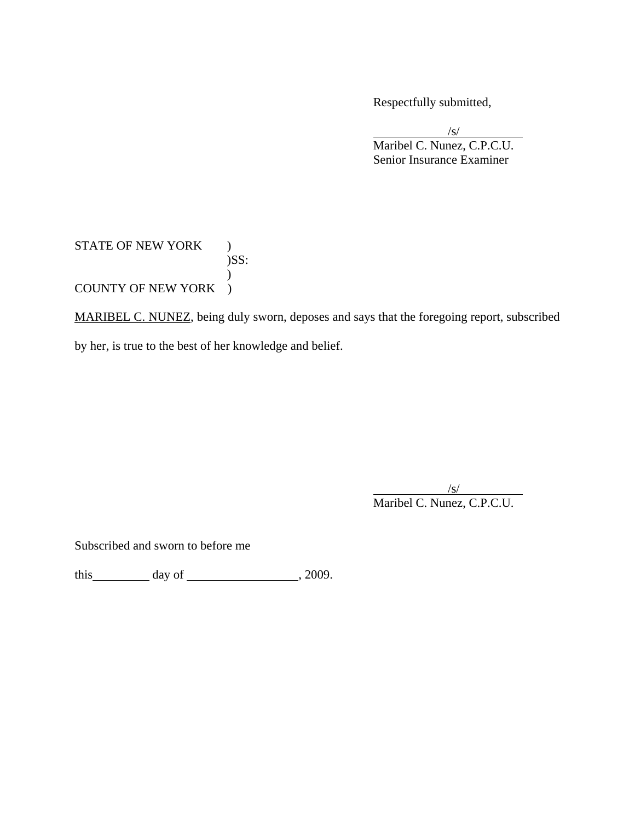Respectfully submitted,

 $\sqrt{s}$ /s/ Maribel C. Nunez, C.P.C.U. Senior Insurance Examiner

## STATE OF NEW YORK ) )SS:  $\mathcal{L}$ COUNTY OF NEW YORK )

MARIBEL C. NUNEZ, being duly sworn, deposes and says that the foregoing report, subscribed by her, is true to the best of her knowledge and belief.

 $\sqrt{s}$ /s/ Maribel C. Nunez, C.P.C.U.

Subscribed and sworn to before me

this  $\qquad \qquad$  day of  $\qquad \qquad$  , 2009.